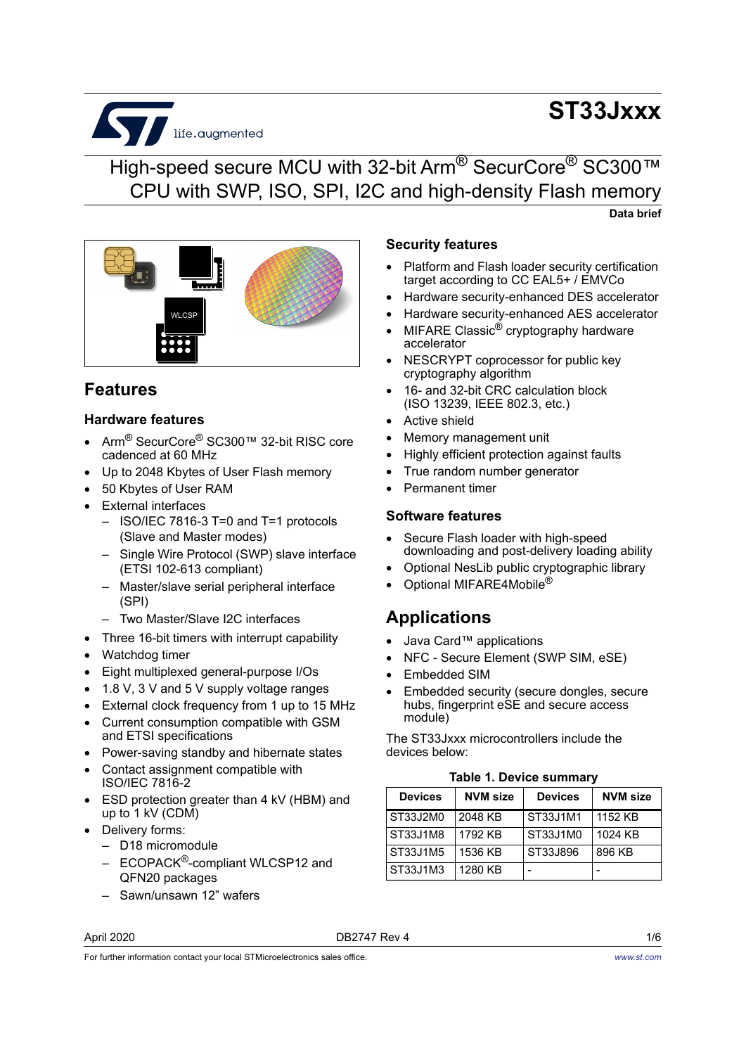# S life.augmented

# **ST33Jxxx**

## High-speed secure MCU with 32-bit Arm<sup>®</sup> SecurCore<sup>®</sup> SC300™ CPU with SWP, ISO, SPI, I2C and high-density Flash memory **Data brief**



## **Features**

#### **Hardware features**

- Arm® SecurCore® SC300™ 32-bit RISC core cadenced at 60 MHz
- Up to 2048 Kbytes of User Flash memory
- 50 Kbytes of User RAM
- External interfaces
	- ISO/IEC 7816-3 T=0 and T=1 protocols (Slave and Master modes)
	- Single Wire Protocol (SWP) slave interface (ETSI 102-613 compliant)
	- Master/slave serial peripheral interface (SPI)
	- Two Master/Slave I2C interfaces
- Three 16-bit timers with interrupt capability
- Watchdog timer
- Eight multiplexed general-purpose I/Os
- 1.8 V, 3 V and 5 V supply voltage ranges
- External clock frequency from 1 up to 15 MHz
- Current consumption compatible with GSM and ETSI specifications
- Power-saving standby and hibernate states
- Contact assignment compatible with ISO/IEC 7816-2
- ESD protection greater than 4 kV (HBM) and up to  $1$  kV (CDM)
- Delivery forms:
	- D18 micromodule
	- ECOPACK<sup>®</sup>-compliant WLCSP12 and QFN20 packages
	- Sawn/unsawn 12" wafers

#### April 2020 **DB2747 Rev 4** 2020 **DB2747 Rev 4** 2020 **1/6**

- Platform and Flash loader security certification target according to CC EAL5+ / EMVCo
- Hardware security-enhanced DES accelerator
- Hardware security-enhanced AES accelerator
- MIFARE Classic® cryptography hardware accelerator
- NESCRYPT coprocessor for public key cryptography algorithm
- 16- and 32-bit CRC calculation block (ISO 13239, IEEE 802.3, etc.)
- Active shield

**Security features**

- Memory management unit
- Highly efficient protection against faults
- True random number generator
- Permanent timer

#### **Software features**

- Secure Flash loader with high-speed downloading and post-delivery loading ability
- Optional NesLib public cryptographic library
- Optional MIFARE4Mobile®

### **Applications**

- Java Card™ applications
- NFC Secure Element (SWP SIM, eSE)
- Embedded SIM
- Embedded security (secure dongles, secure hubs, fingerprint eSE and secure access module)

The ST33Jxxx microcontrollers include the devices below:

|  |  | <b>Table 1. Device summary</b> |
|--|--|--------------------------------|
|--|--|--------------------------------|

| <b>Devices</b> | <b>NVM size</b> | <b>Devices</b> | <b>NVM size</b> |
|----------------|-----------------|----------------|-----------------|
| ST33J2M0       | 2048 KB         | ST33J1M1       | 1152 KB         |
| ST33J1M8       | 1792 KB         | ST33J1M0       | 1024 KB         |
| ST33J1M5       | 1536 KB         | ST33J896       | 896 KB          |
| ST33J1M3       | 1280 KB         |                |                 |

For further information contact your local STMicroelectronics sales office.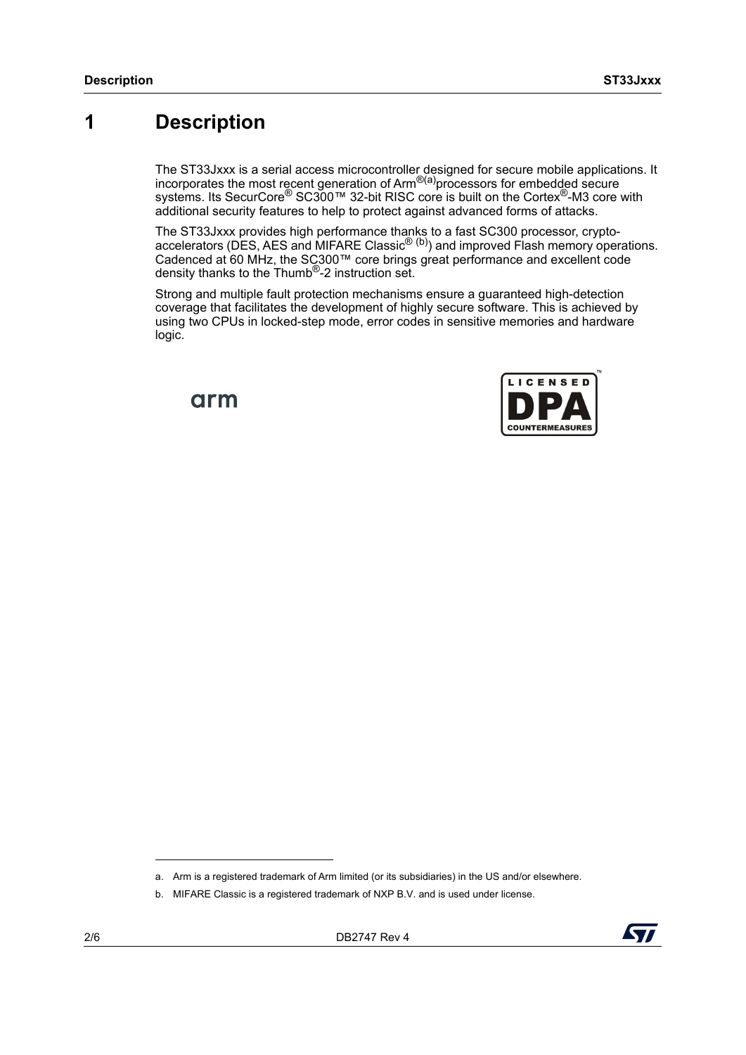# <span id="page-1-0"></span>**1 Description**

The ST33Jxxx is a serial access microcontroller designed for secure mobile applications. It incorporates the most recent generation of Arm<sup>®(a)</sup>processors for embedded secure systems. Its SecurCore<sup>®</sup> SC300™ 32-bit RISC core is built on the Cortex<sup>®</sup>-M3 core with additional security features to help to protect against advanced forms of attacks.

The ST33Jxxx provides high performance thanks to a fast SC300 processor, cryptoaccelerators (DES, AES and MIFARE Classic $^{\circledR}$  (b)) and improved Flash memory operations. Cadenced at 60 MHz, the SC300™ core brings great performance and excellent code density thanks to the Thumb®-2 instruction set.

Strong and multiple fault protection mechanisms ensure a guaranteed high-detection coverage that facilitates the development of highly secure software. This is achieved by using two CPUs in locked-step mode, error codes in sensitive memories and hardware logic.

arm





a. Arm is a registered trademark of Arm limited (or its subsidiaries) in the US and/or elsewhere.

b. MIFARE Classic is a registered trademark of NXP B.V. and is used under license.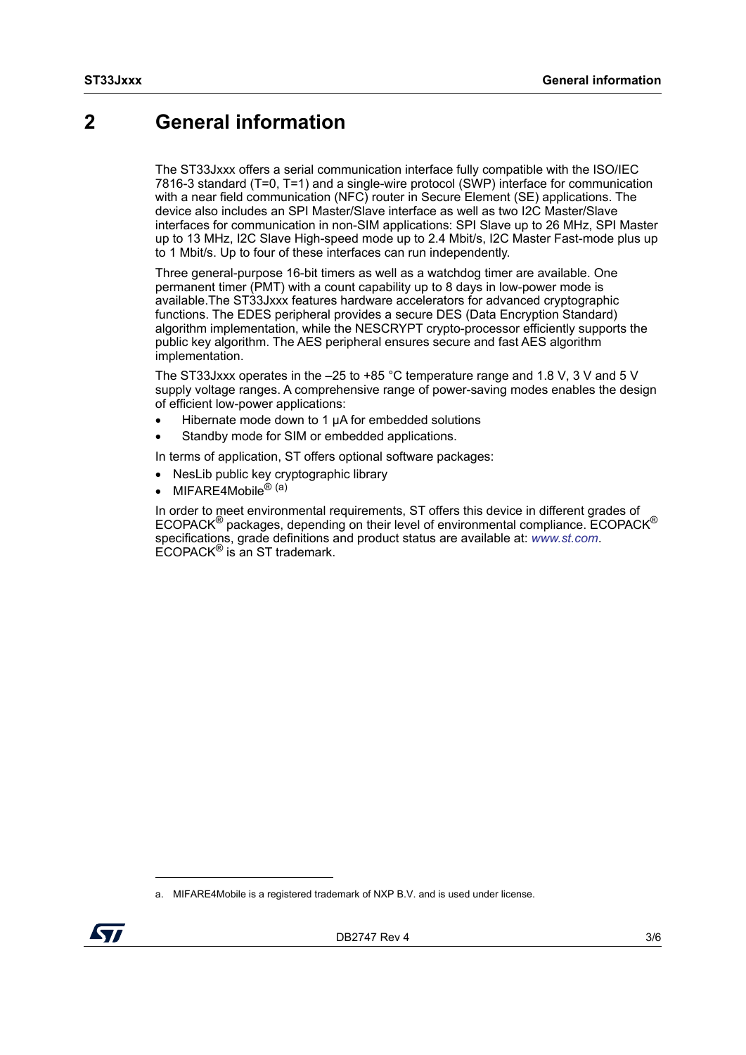## <span id="page-2-0"></span>**2 General information**

The ST33Jxxx offers a serial communication interface fully compatible with the ISO/IEC 7816-3 standard (T=0, T=1) and a single-wire protocol (SWP) interface for communication with a near field communication (NFC) router in Secure Element (SE) applications. The device also includes an SPI Master/Slave interface as well as two I2C Master/Slave interfaces for communication in non-SIM applications: SPI Slave up to 26 MHz, SPI Master up to 13 MHz, I2C Slave High-speed mode up to 2.4 Mbit/s, I2C Master Fast-mode plus up to 1 Mbit/s. Up to four of these interfaces can run independently.

Three general-purpose 16-bit timers as well as a watchdog timer are available. One permanent timer (PMT) with a count capability up to 8 days in low-power mode is available.The ST33Jxxx features hardware accelerators for advanced cryptographic functions. The EDES peripheral provides a secure DES (Data Encryption Standard) algorithm implementation, while the NESCRYPT crypto-processor efficiently supports the public key algorithm. The AES peripheral ensures secure and fast AES algorithm implementation.

The ST33Jxxx operates in the –25 to +85 °C temperature range and 1.8 V, 3 V and 5 V supply voltage ranges. A comprehensive range of power-saving modes enables the design of efficient low-power applications:

- Hibernate mode down to 1 μA for embedded solutions
- Standby mode for SIM or embedded applications.

In terms of application, ST offers optional software packages:

- NesLib public key cryptographic library
- MIFARE4Mobile<sup>® (a)</sup>

In order to meet environmental requirements, ST offers this device in different grades of  $ECOPACK^{\circledR}$  packages, depending on their level of environmental compliance. ECOPACK<sup>®</sup> specifications, grade definitions and product status are available at: *[www.st.com](http://www.st.com)*.  $ECOPACK^{\circledR}$  is an ST trademark.

a. MIFARE4Mobile is a registered trademark of NXP B.V. and is used under license.

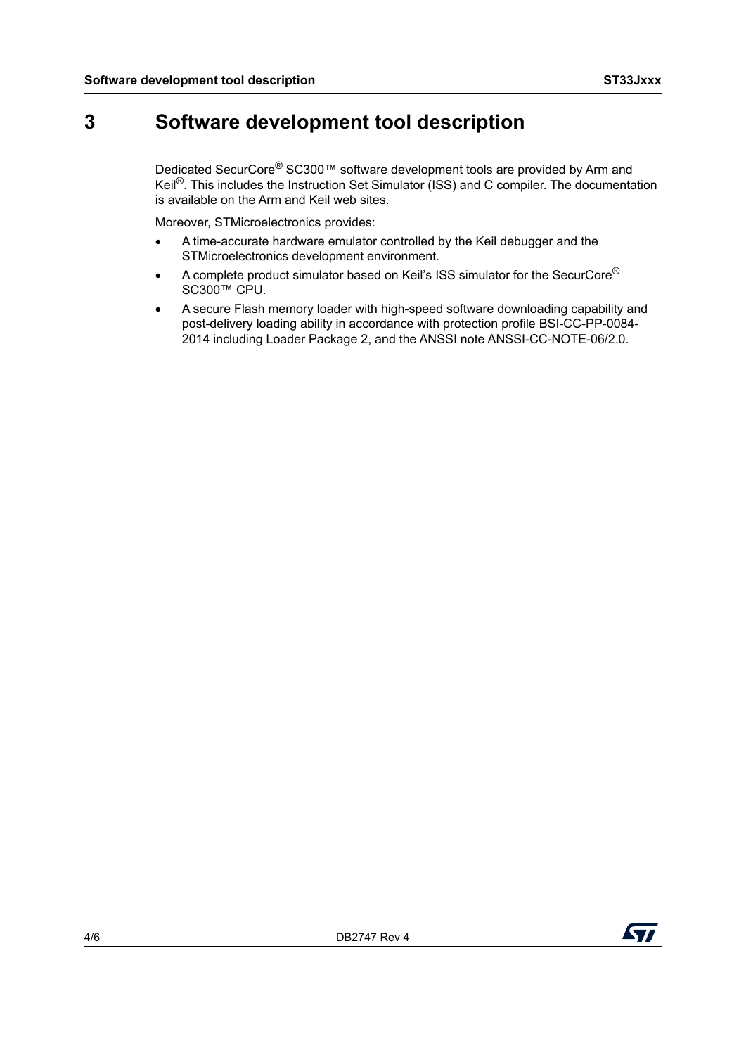# **3 Software development tool description**

Dedicated SecurCore® SC300™ software development tools are provided by Arm and Keil<sup>®</sup>. This includes the Instruction Set Simulator (ISS) and C compiler. The documentation is available on the Arm and Keil web sites.

Moreover, STMicroelectronics provides:

- A time-accurate hardware emulator controlled by the Keil debugger and the STMicroelectronics development environment.
- A complete product simulator based on Keil's ISS simulator for the SecurCore® SC300™ CPU.
- A secure Flash memory loader with high-speed software downloading capability and post-delivery loading ability in accordance with protection profile BSI-CC-PP-0084- 2014 including Loader Package 2, and the ANSSI note ANSSI-CC-NOTE-06/2.0.

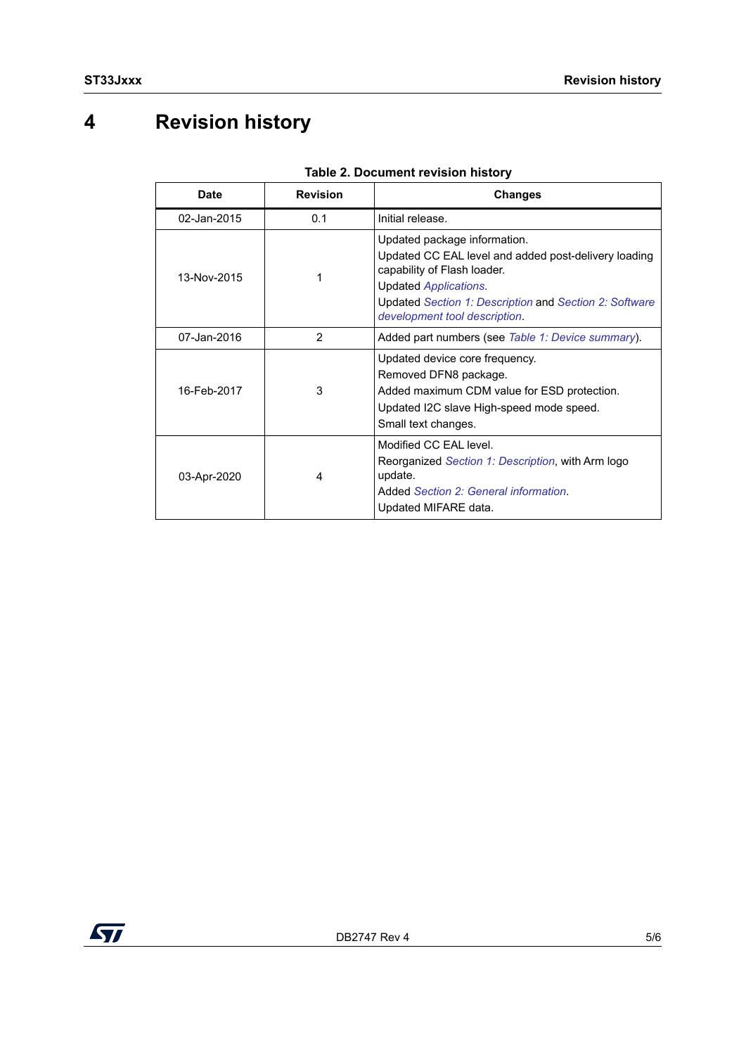# **4 Revision history**

| Date        | <b>Revision</b> | <b>Changes</b>                                                                                                                                                                                                                                 |
|-------------|-----------------|------------------------------------------------------------------------------------------------------------------------------------------------------------------------------------------------------------------------------------------------|
| 02-Jan-2015 | 0.1             | Initial release.                                                                                                                                                                                                                               |
| 13-Nov-2015 |                 | Updated package information.<br>Updated CC EAL level and added post-delivery loading<br>capability of Flash loader.<br><b>Updated Applications.</b><br>Updated Section 1: Description and Section 2: Software<br>development tool description. |
| 07-Jan-2016 | 2               | Added part numbers (see Table 1: Device summary).                                                                                                                                                                                              |
| 16-Feb-2017 | 3               | Updated device core frequency.<br>Removed DFN8 package.<br>Added maximum CDM value for ESD protection.<br>Updated I2C slave High-speed mode speed.<br>Small text changes.                                                                      |
| 03-Apr-2020 | 4               | Modified CC FAI level.<br>Reorganized Section 1: Description, with Arm logo<br>update.<br>Added Section 2: General information.<br>Updated MIFARE data.                                                                                        |

#### **Table 2. Document revision history**